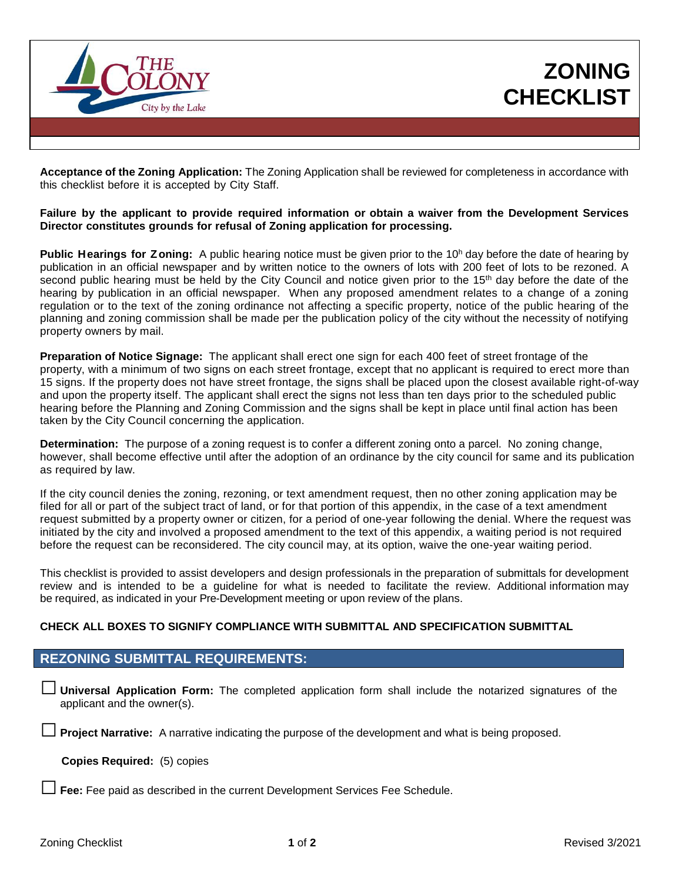

**ZONING CHECKLIST**

**Acceptance of the Zoning Application:** The Zoning Application shall be reviewed for completeness in accordance with this checklist before it is accepted by City Staff.

## **Failure by the applicant to provide required information or obtain a waiver from the Development Services Director constitutes grounds for refusal of Zoning application for processing.**

**Public Hearings for Zoning:** A public hearing notice must be given prior to the 10<sup>h</sup> day before the date of hearing by publication in an official newspaper and by written notice to the owners of lots with 200 feet of lots to be rezoned. A second public hearing must be held by the City Council and notice given prior to the 15<sup>th</sup> day before the date of the hearing by publication in an official newspaper. When any proposed amendment relates to a change of a zoning regulation or to the text of the zoning ordinance not affecting a specific property, notice of the public hearing of the planning and zoning commission shall be made per the publication policy of the city without the necessity of notifying property owners by mail.

**Preparation of Notice Signage:** The applicant shall erect one sign for each 400 feet of street frontage of the property, with a minimum of two signs on each street frontage, except that no applicant is required to erect more than 15 signs. If the property does not have street frontage, the signs shall be placed upon the closest available right-of-way and upon the property itself. The applicant shall erect the signs not less than ten days prior to the scheduled public hearing before the Planning and Zoning Commission and the signs shall be kept in place until final action has been taken by the City Council concerning the application.

**Determination:** The purpose of a zoning request is to confer a different zoning onto a parcel. No zoning change, however, shall become effective until after the adoption of an ordinance by the city council for same and its publication as required by law.

If the city council denies the zoning, rezoning, or text amendment request, then no other zoning application may be filed for all or part of the subject tract of land, or for that portion of this appendix, in the case of a text amendment request submitted by a property owner or citizen, for a period of one-year following the denial. Where the request was initiated by the city and involved a proposed amendment to the text of this appendix, a waiting period is not required before the request can be reconsidered. The city council may, at its option, waive the one-year waiting period.

This checklist is provided to assist developers and design professionals in the preparation of submittals for development review and is intended to be a guideline for what is needed to facilitate the review. Additional information may be required, as indicated in your Pre-Development meeting or upon review of the plans.

## **CHECK ALL BOXES TO SIGNIFY COMPLIANCE WITH SUBMITTAL AND SPECIFICATION SUBMITTAL**

## **REZONING SUBMITTAL REQUIREMENTS:**

□ **Universal Application Form:** The completed application form shall include the notarized signatures of the applicant and the owner(s).

□ **Project Narrative:**<sup>A</sup> narrative indicating the purpose of the development and what is being proposed.

 **Copies Required:** (5) copies

□ **Fee:** Fee paid as described in the current Development Services Fee Schedule.